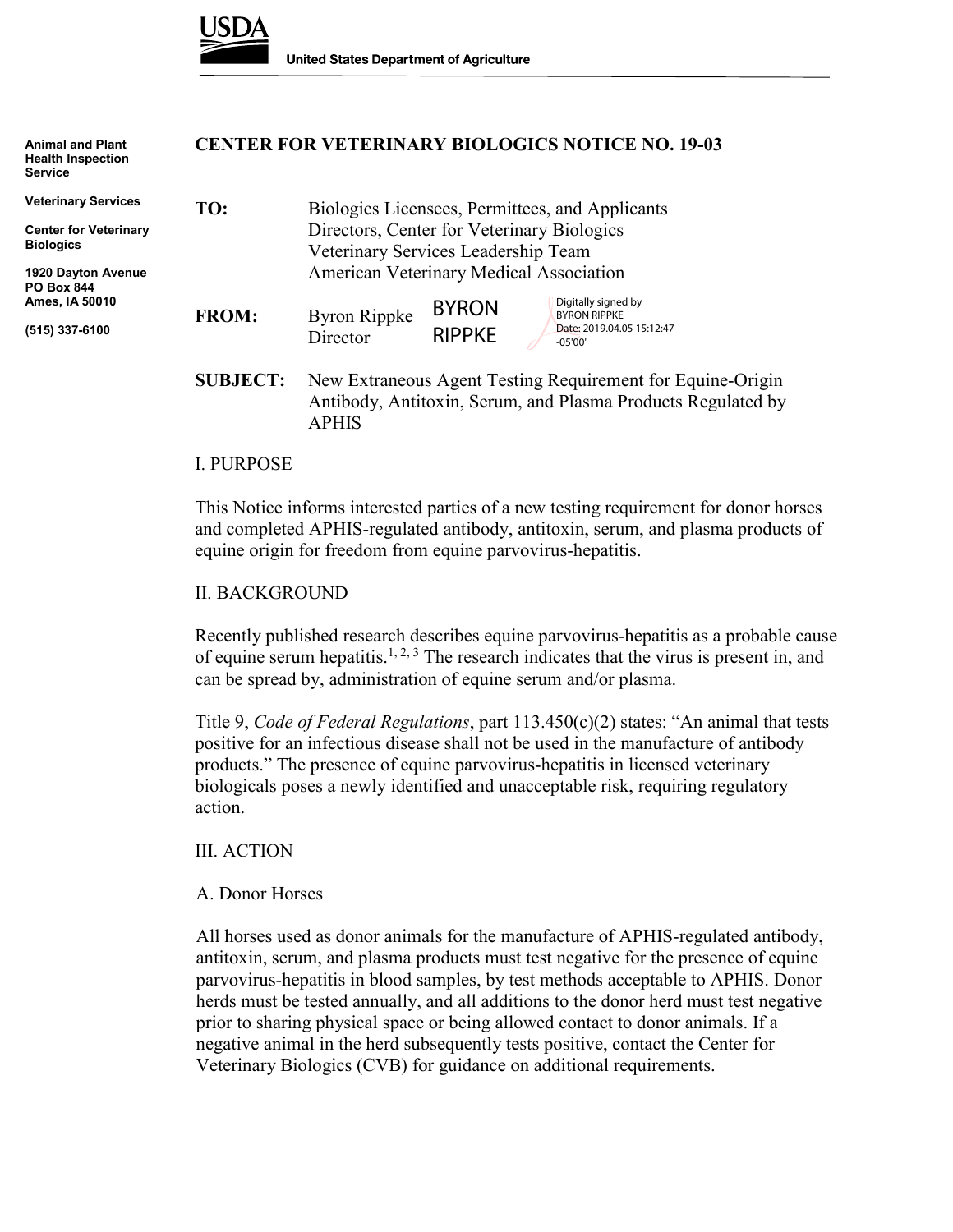

APHIS

| <b>Animal and Plant</b><br><b>Health Inspection</b><br><b>Service</b> |                 | <b>CENTER FOR VETERINARY BIOLOGICS NOTICE NO. 19-03</b>                                                                    |
|-----------------------------------------------------------------------|-----------------|----------------------------------------------------------------------------------------------------------------------------|
| <b>Veterinary Services</b>                                            | TO:             | Biologics Licensees, Permittees, and Applicants                                                                            |
| <b>Center for Veterinary</b>                                          |                 | Directors, Center for Veterinary Biologics                                                                                 |
| <b>Biologics</b>                                                      |                 | Veterinary Services Leadership Team                                                                                        |
| 1920 Dayton Avenue<br><b>PO Box 844</b>                               |                 | American Veterinary Medical Association                                                                                    |
| Ames, IA 50010                                                        | <b>FROM:</b>    | Digitally signed by<br><b>BYRON</b><br><b>BYRON RIPPKE</b>                                                                 |
| (515) 337-6100                                                        |                 | <b>Byron Rippke</b><br>Date: 2019.04.05 15:12:47<br><b>RIPPKE</b><br>Director<br>$-05'00'$                                 |
|                                                                       | <b>SUBJECT:</b> | New Extraneous Agent Testing Requirement for Equine-Origin<br>Antibody, Antitoxin, Serum, and Plasma Products Regulated by |

#### I. PURPOSE

This Notice informs interested parties of a new testing requirement for donor horses and completed APHIS-regulated antibody, antitoxin, serum, and plasma products of equine origin for freedom from equine parvovirus-hepatitis.

#### II. BACKGROUND

Recently published research describes equine parvovirus-hepatitis as a probable cause of equine serum hepatitis.<sup>1, 2, 3</sup> The research indicates that the virus is present in, and can be spread by, administration of equine serum and/or plasma.

Title 9, *Code of Federal Regulations*, part 113.450(c)(2) states: "An animal that tests positive for an infectious disease shall not be used in the manufacture of antibody products." The presence of equine parvovirus-hepatitis in licensed veterinary biologicals poses a newly identified and unacceptable risk, requiring regulatory action.

#### III. ACTION

#### A. Donor Horses

All horses used as donor animals for the manufacture of APHIS-regulated antibody, antitoxin, serum, and plasma products must test negative for the presence of equine parvovirus-hepatitis in blood samples, by test methods acceptable to APHIS. Donor herds must be tested annually, and all additions to the donor herd must test negative prior to sharing physical space or being allowed contact to donor animals. If a negative animal in the herd subsequently tests positive, contact the Center for Veterinary Biologics (CVB) for guidance on additional requirements.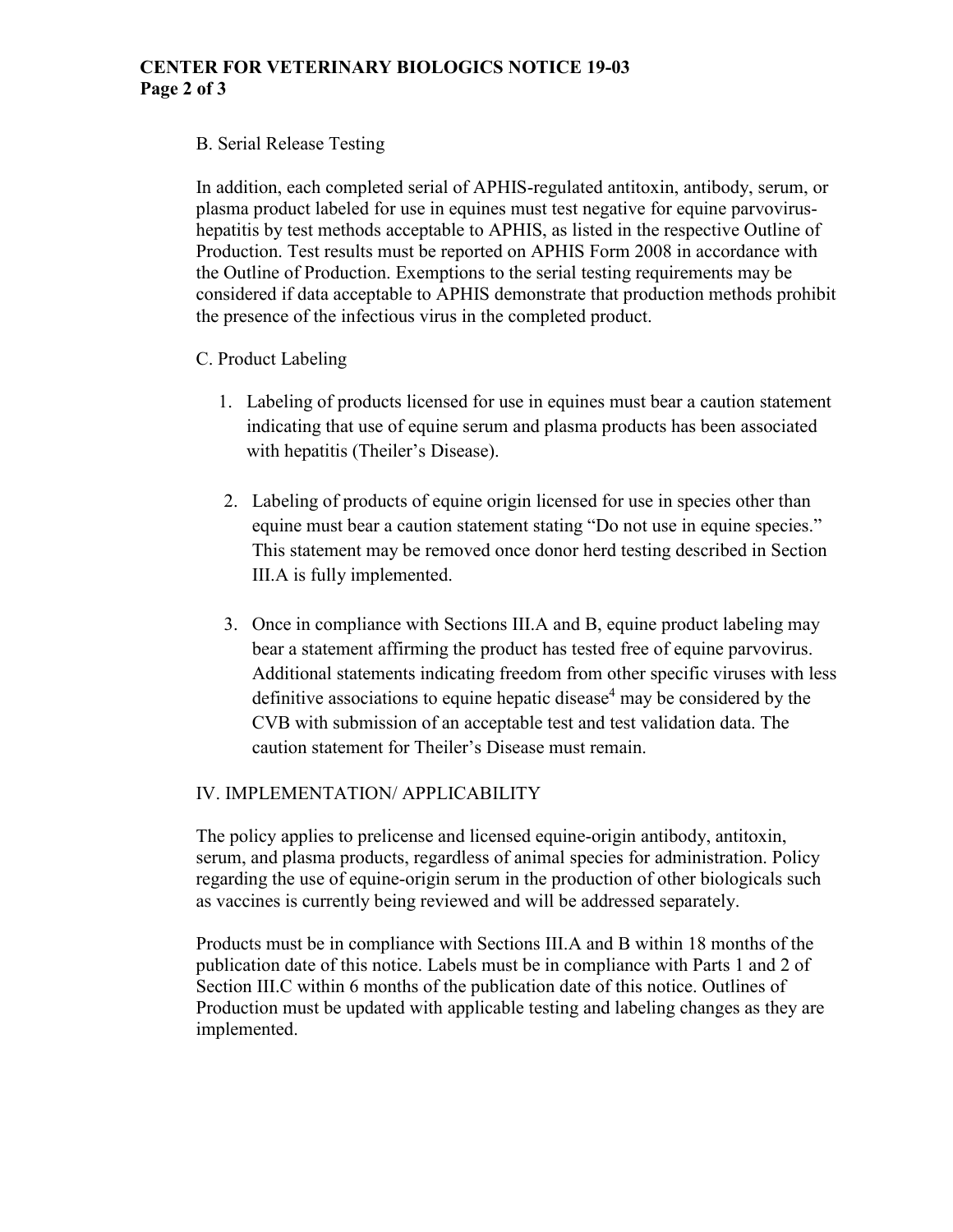## **CENTER FOR VETERINARY BIOLOGICS NOTICE 19-03 Page 2 of 3**

## B. Serial Release Testing

In addition, each completed serial of APHIS-regulated antitoxin, antibody, serum, or plasma product labeled for use in equines must test negative for equine parvovirushepatitis by test methods acceptable to APHIS, as listed in the respective Outline of Production. Test results must be reported on APHIS Form 2008 in accordance with the Outline of Production. Exemptions to the serial testing requirements may be considered if data acceptable to APHIS demonstrate that production methods prohibit the presence of the infectious virus in the completed product.

## C. Product Labeling

- 1. Labeling of products licensed for use in equines must bear a caution statement indicating that use of equine serum and plasma products has been associated with hepatitis (Theiler's Disease).
- 2. Labeling of products of equine origin licensed for use in species other than equine must bear a caution statement stating "Do not use in equine species." This statement may be removed once donor herd testing described in Section III.A is fully implemented.
- 3. Once in compliance with Sections III.A and B, equine product labeling may bear a statement affirming the product has tested free of equine parvovirus. Additional statements indicating freedom from other specific viruses with less definitive associations to equine hepatic disease<sup>4</sup> may be considered by the CVB with submission of an acceptable test and test validation data. The caution statement for Theiler's Disease must remain.

# IV. IMPLEMENTATION/ APPLICABILITY

The policy applies to prelicense and licensed equine-origin antibody, antitoxin, serum, and plasma products, regardless of animal species for administration. Policy regarding the use of equine-origin serum in the production of other biologicals such as vaccines is currently being reviewed and will be addressed separately.

Products must be in compliance with Sections III.A and B within 18 months of the publication date of this notice. Labels must be in compliance with Parts 1 and 2 of Section III.C within 6 months of the publication date of this notice. Outlines of Production must be updated with applicable testing and labeling changes as they are implemented.